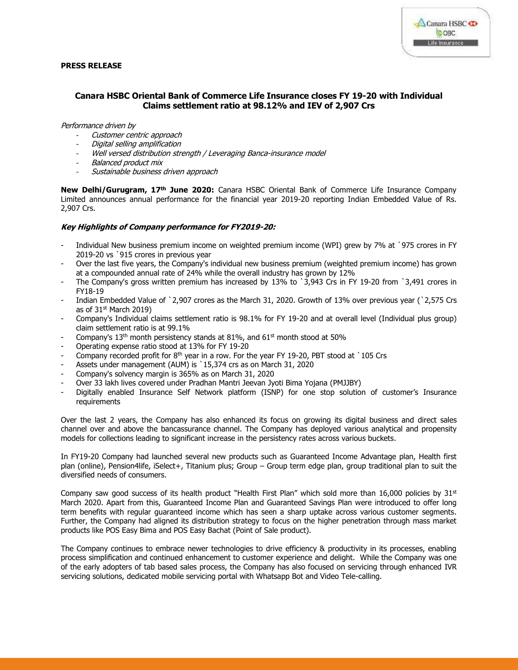

## **PRESS RELEASE**

# **Canara HSBC Oriental Bank of Commerce Life Insurance closes FY 19-20 with Individual Claims settlement ratio at 98.12% and IEV of 2,907 Crs**

#### Performance driven by

- Customer centric approach
- Digital selling amplification
- Well versed distribution strength / Leveraging Banca-insurance model
- Balanced product mix
- Sustainable business driven approach

**New Delhi/Gurugram, 17th June 2020:** Canara HSBC Oriental Bank of Commerce Life Insurance Company Limited announces annual performance for the financial year 2019-20 reporting Indian Embedded Value of Rs. 2,907 Crs.

### **Key Highlights of Company performance for FY2019-20:**

- Individual New business premium income on weighted premium income (WPI) grew by 7% at `975 crores in FY 2019-20 vs `915 crores in previous year
- Over the last five years, the Company's individual new business premium (weighted premium income) has grown at a compounded annual rate of 24% while the overall industry has grown by 12%
- The Company's gross written premium has increased by 13% to `3,943 Crs in FY 19-20 from `3,491 crores in FY18-19
- Indian Embedded Value of `2,907 crores as the March 31, 2020. Growth of 13% over previous year (`2,575 Crs as of  $31<sup>st</sup>$  March 2019)
- Company's Individual claims settlement ratio is 98.1% for FY 19-20 and at overall level (Individual plus group) claim settlement ratio is at 99.1%
- Company's 13<sup>th</sup> month persistency stands at 81%, and 61<sup>st</sup> month stood at 50%
- Operating expense ratio stood at 13% for FY 19-20
- Company recorded profit for  $8<sup>th</sup>$  year in a row. For the year FY 19-20, PBT stood at `105 Crs
- Assets under management (AUM) is `15,374 crs as on March 31, 2020
- Company's solvency margin is 365% as on March 31, 2020
- Over 33 lakh lives covered under Pradhan Mantri Jeevan Jyoti Bima Yojana (PMJJBY)
- Digitally enabled Insurance Self Network platform (ISNP) for one stop solution of customer's Insurance requirements

Over the last 2 years, the Company has also enhanced its focus on growing its digital business and direct sales channel over and above the bancassurance channel. The Company has deployed various analytical and propensity models for collections leading to significant increase in the persistency rates across various buckets.

In FY19-20 Company had launched several new products such as Guaranteed Income Advantage plan, Health first plan (online), Pension4life, iSelect+, Titanium plus; Group – Group term edge plan, group traditional plan to suit the diversified needs of consumers.

Company saw good success of its health product "Health First Plan" which sold more than 16,000 policies by  $31<sup>st</sup>$ March 2020. Apart from this, Guaranteed Income Plan and Guaranteed Savings Plan were introduced to offer long term benefits with regular guaranteed income which has seen a sharp uptake across various customer segments. Further, the Company had aligned its distribution strategy to focus on the higher penetration through mass market products like POS Easy Bima and POS Easy Bachat (Point of Sale product).

The Company continues to embrace newer technologies to drive efficiency & productivity in its processes, enabling process simplification and continued enhancement to customer experience and delight. While the Company was one of the early adopters of tab based sales process, the Company has also focused on servicing through enhanced IVR servicing solutions, dedicated mobile servicing portal with Whatsapp Bot and Video Tele-calling.